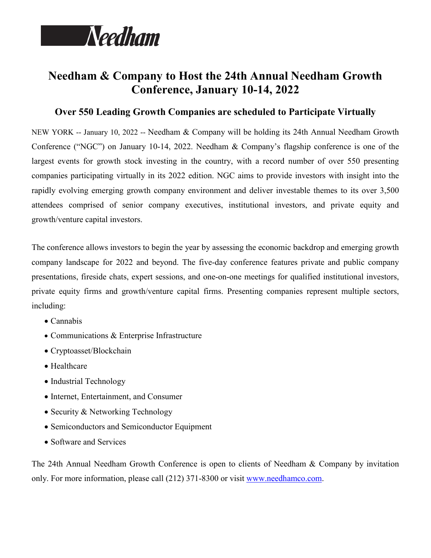

## **Needham & Company to Host the 24th Annual Needham Growth Conference, January 10-14, 2022**

## **Over 550 Leading Growth Companies are scheduled to Participate Virtually**

NEW YORK -- January 10, 2022 -- Needham & Company will be holding its 24th Annual Needham Growth Conference ("NGC") on January 10-14, 2022. Needham & Company's flagship conference is one of the largest events for growth stock investing in the country, with a record number of over 550 presenting companies participating virtually in its 2022 edition. NGC aims to provide investors with insight into the rapidly evolving emerging growth company environment and deliver investable themes to its over 3,500 attendees comprised of senior company executives, institutional investors, and private equity and growth/venture capital investors.

The conference allows investors to begin the year by assessing the economic backdrop and emerging growth company landscape for 2022 and beyond. The five-day conference features private and public company presentations, fireside chats, expert sessions, and one-on-one meetings for qualified institutional investors, private equity firms and growth/venture capital firms. Presenting companies represent multiple sectors, including:

- Cannabis
- Communications & Enterprise Infrastructure
- Cryptoasset/Blockchain
- Healthcare
- Industrial Technology
- Internet, Entertainment, and Consumer
- Security & Networking Technology
- Semiconductors and Semiconductor Equipment
- Software and Services

The 24th Annual Needham Growth Conference is open to clients of Needham & Company by invitation only. For more information, please call (212) 371-8300 or visit [www.needhamco.com.](http://www.needhamco.com/)